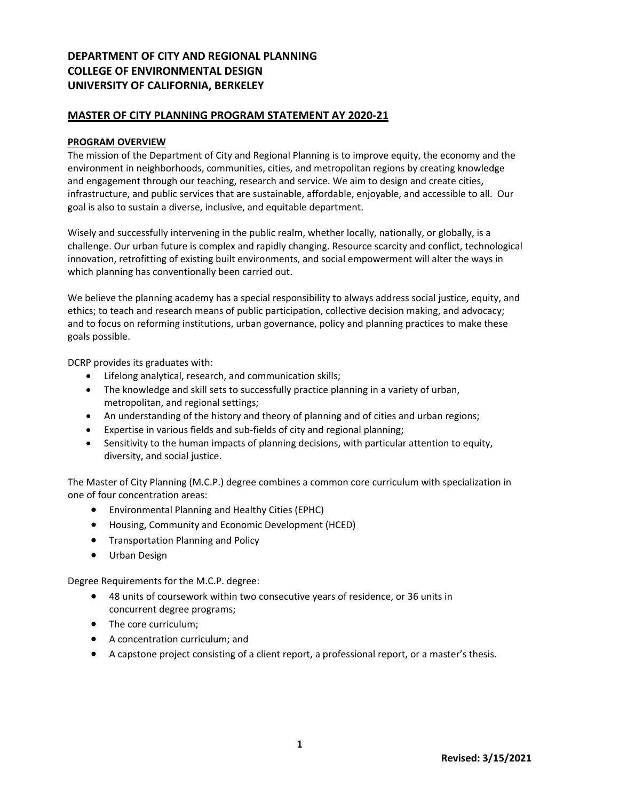# **DEPARTMENT OF CITY AND REGIONAL PLANNING COLLEGE OF ENVIRONMENTAL DESIGN UNIVERSITY OF CALIFORNIA, BERKELEY**

# **MASTER OF CITY PLANNING PROGRAM STATEMENT AY 2020-21**

### **PROGRAM OVERVIEW**

The mission of the Department of City and Regional Planning is to improve equity, the economy and the environment in neighborhoods, communities, cities, and metropolitan regions by creating knowledge and engagement through our teaching, research and service. We aim to design and create cities, infrastructure, and public services that are sustainable, affordable, enjoyable, and accessible to all. Our goal is also to sustain a diverse, inclusive, and equitable department.

Wisely and successfully intervening in the public realm, whether locally, nationally, or globally, is a challenge. Our urban future is complex and rapidly changing. Resource scarcity and conflict, technological innovation, retrofitting of existing built environments, and social empowerment will alter the ways in which planning has conventionally been carried out.

We believe the planning academy has a special responsibility to always address social justice, equity, and ethics; to teach and research means of public participation, collective decision making, and advocacy; and to focus on reforming institutions, urban governance, policy and planning practices to make these goals possible.

DCRP provides its graduates with:

- Lifelong analytical, research, and communication skills;
- The knowledge and skill sets to successfully practice planning in a variety of urban, metropolitan, and regional settings;
- An understanding of the history and theory of planning and of cities and urban regions;
- Expertise in various fields and sub-fields of city and regional planning;
- Sensitivity to the human impacts of planning decisions, with particular attention to equity, diversity, and social justice.

The Master of City Planning (M.C.P.) degree combines a common core curriculum with specialization in one of four concentration areas:

- Environmental Planning and Healthy Cities (EPHC)
- Housing, Community and Economic Development (HCED)
- Transportation Planning and Policy
- Urban Design

Degree Requirements for the M.C.P. degree:

- 48 units of coursework within two consecutive years of residence, or 36 units in concurrent degree programs;
- The core curriculum;
- A concentration curriculum; and
- A capstone project consisting of a client report, a professional report, or a master's thesis.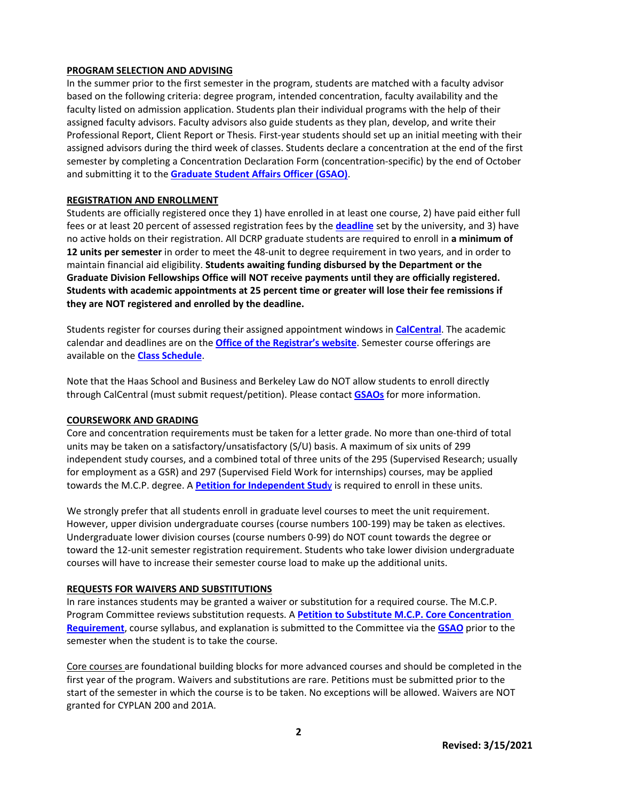### **PROGRAM SELECTION AND ADVISING**

In the summer prior to the first semester in the program, students are matched with a faculty advisor based on the following criteria: degree program, intended concentration, faculty availability and the faculty listed on admission application. Students plan their individual programs with the help of their assigned faculty advisors. Faculty advisors also guide students as they plan, develop, and write their Professional Report, Client Report or Thesis. First-year students should set up an initial meeting with their assigned advisors during the third week of classes. Students declare a concentration at the end of the first semester by completing a Concentration Declaration Form (concentration-specific) by the end of October and submitting it to the **[Graduate Student Affairs Officer \(GSAO\)](mailto:dcrpgrad@berkeley.edu)**.

### **REGISTRATION AND ENROLLMENT**

Students are officially registered once they 1) have enrolled in at least one course, 2) have paid either full fees or at least 20 percent of assessed registration fees by the **[deadline](https://registrar.berkeley.edu/tuition-fees-residency/tuition-fees/fee-schedule)** set by the university, and 3) have no active holds on their registration. All DCRP graduate students are required to enroll in **a minimum of 12 units per semester** in order to meet the 48-unit to degree requirement in two years, and in order to maintain financial aid eligibility. **Students awaiting funding disbursed by the Department or the Graduate Division Fellowships Office will NOT receive payments until they are officially registered. Students with academic appointments at 25 percent time or greater will lose their fee remissions if they are NOT registered and enrolled by the deadline.**

Students register for courses during their assigned appointment windows in **[CalCentral](https://calcentral.berkeley.edu/)**. The academic calendar and deadlines are on the **[Office of the Registrar's website](http://registrar.berkeley.edu/)**. Semester course offerings are available on the **[Class Schedule](https://classes.berkeley.edu/)**.

Note that the Haas School and Business and Berkeley Law do NOT allow students to enroll directly through CalCentral (must submit request/petition). Please contact **[GSAOs](mailto:dcrpgrad@berkeley.edu)** for more information.

#### **COURSEWORK AND GRADING**

Core and concentration requirements must be taken for a letter grade. No more than one-third of total units may be taken on a satisfactory/unsatisfactory (S/U) basis. A maximum of six units of 299 independent study courses, and a combined total of three units of the 295 (Supervised Research; usually for employment as a GSR) and 297 (Supervised Field Work for internships) courses, may be applied towards the M.C.P. degree. A **[Petition for Independent Stud](https://ced.berkeley.edu/images/uploads/content/Petition_for_Independent_Study_Course.pdf)**y is required to enroll in these units.

We strongly prefer that all students enroll in graduate level courses to meet the unit requirement. However, upper division undergraduate courses (course numbers 100-199) may be taken as electives. Undergraduate lower division courses (course numbers 0-99) do NOT count towards the degree or toward the 12-unit semester registration requirement. Students who take lower division undergraduate courses will have to increase their semester course load to make up the additional units.

# **REQUESTS FOR WAIVERS AND SUBSTITUTIONS**

In rare instances students may be granted a waiver or substitution for a required course. The M.C.P. Program Committee reviews substitution requests. A **[Petition to Substitute M.C.P.](https://ced.berkeley.edu/images/uploads/content/Petition_to_Substitute_MCP_Core_Concentration_Requirement.pdf) Core Concentration [Requirement](https://ced.berkeley.edu/images/uploads/content/Petition_to_Substitute_MCP_Core_Concentration_Requirement.pdf)**, course syllabus, and explanation is submitted to the Committee via the **[GSAO](mailto:dcrpgrad@berkeley.edu)** prior to the semester when the student is to take the course.

Core courses are foundational building blocks for more advanced courses and should be completed in the first year of the program. Waivers and substitutions are rare. Petitions must be submitted prior to the start of the semester in which the course is to be taken. No exceptions will be allowed. Waivers are NOT granted for CYPLAN 200 and 201A.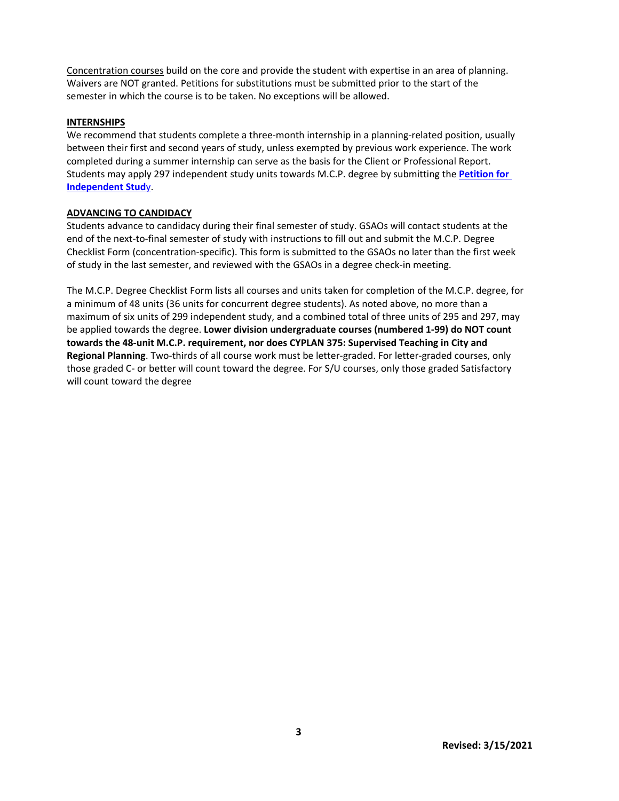Concentration courses build on the core and provide the student with expertise in an area of planning. Waivers are NOT granted. Petitions for substitutions must be submitted prior to the start of the semester in which the course is to be taken. No exceptions will be allowed.

### **INTERNSHIPS**

We recommend that students complete a three-month internship in a planning-related position, usually between their first and second years of study, unless exempted by previous work experience. The work completed during a summer internship can serve as the basis for the Client or Professional Report. Students may apply 297 independent study units towards M.C.P. degree by submitting the **[Petition for](https://ced.berkeley.edu/images/uploads/content/Petition_for_Independent_Study_Course.pdf)  [Independent Stud](https://ced.berkeley.edu/images/uploads/content/Petition_for_Independent_Study_Course.pdf)**y.

### **ADVANCING TO CANDIDACY**

Students advance to candidacy during their final semester of study. GSAOs will contact students at the end of the next-to-final semester of study with instructions to fill out and submit the M.C.P. Degree Checklist Form (concentration-specific). This form is submitted to the GSAOs no later than the first week of study in the last semester, and reviewed with the GSAOs in a degree check-in meeting.

The M.C.P. Degree Checklist Form lists all courses and units taken for completion of the M.C.P. degree, for a minimum of 48 units (36 units for concurrent degree students). As noted above, no more than a maximum of six units of 299 independent study, and a combined total of three units of 295 and 297, may be applied towards the degree. **Lower division undergraduate courses (numbered 1-99) do NOT count towards the 48-unit M.C.P. requirement, nor does CYPLAN 375: Supervised Teaching in City and Regional Planning**. Two-thirds of all course work must be letter-graded. For letter-graded courses, only those graded C- or better will count toward the degree. For S/U courses, only those graded Satisfactory will count toward the degree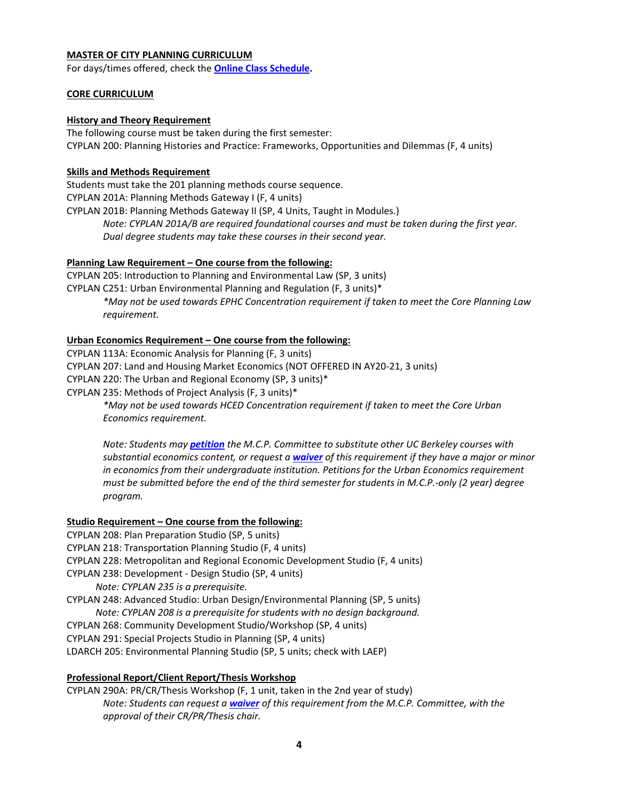### **MASTER OF CITY PLANNING CURRICULUM**

For days/times offered, check the **[Online Class Schedule.](http://classes.berkeley.edu/)**

### **CORE CURRICULUM**

### **History and Theory Requirement**

The following course must be taken during the first semester: CYPLAN 200: Planning Histories and Practice: Frameworks, Opportunities and Dilemmas (F, 4 units)

### **Skills and Methods Requirement**

Students must take the 201 planning methods course sequence. CYPLAN 201A: Planning Methods Gateway I (F, 4 units) CYPLAN 201B: Planning Methods Gateway II (SP, 4 Units, Taught in Modules.) *Note: CYPLAN 201A/B are required foundational courses and must be taken during the first year. Dual degree students may take these courses in their second year.* 

### **Planning Law Requirement – One course from the following:**

CYPLAN 205: Introduction to Planning and Environmental Law (SP, 3 units) CYPLAN C251: Urban Environmental Planning and Regulation (F, 3 units)\* *\*May not be used towards EPHC Concentration requirement if taken to meet the Core Planning Law requirement.*

### **Urban Economics Requirement – One course from the following:**

CYPLAN 113A: Economic Analysis for Planning (F, 3 units)

CYPLAN 207: Land and Housing Market Economics (NOT OFFERED IN AY20-21, 3 units)

CYPLAN 220: The Urban and Regional Economy (SP, 3 units)\*

CYPLAN 235: Methods of Project Analysis (F, 3 units)\*

*\*May not be used towards HCED Concentration requirement if taken to meet the Core Urban Economics requirement.*

*Note: Students may [petition](https://ced.berkeley.edu/images/uploads/content/Petition_to_Substitute_MCP_Core_Concentration_Requirement.pdf) the M.C.P. Committee to substitute other UC Berkeley courses with substantial economics content, or request a [waiver](https://ced.berkeley.edu/images/uploads/content/Petition_to_Substitute_MCP_Core_Concentration_Requirement.pdf) of this requirement if they have a major or minor in economics from their undergraduate institution. Petitions for the Urban Economics requirement must be submitted before the end of the third semester for students in M.C.P.-only (2 year) degree program.*

# **Studio Requirement – One course from the following:**

- CYPLAN 208: Plan Preparation Studio (SP, 5 units)
- CYPLAN 218: Transportation Planning Studio (F, 4 units)
- CYPLAN 228: Metropolitan and Regional Economic Development Studio (F, 4 units)
- CYPLAN 238: Development Design Studio (SP, 4 units)

*Note: CYPLAN 235 is a prerequisite.* 

CYPLAN 248: Advanced Studio: Urban Design/Environmental Planning (SP, 5 units)

*Note: CYPLAN 208 is a prerequisite for students with no design background.*

- CYPLAN 268: Community Development Studio/Workshop (SP, 4 units)
- CYPLAN 291: Special Projects Studio in Planning (SP, 4 units)

LDARCH 205: Environmental Planning Studio (SP, 5 units; check with LAEP)

# **Professional Report/Client Report/Thesis Workshop**

CYPLAN 290A: PR/CR/Thesis Workshop (F, 1 unit, taken in the 2nd year of study) *Note: Students can request a [waiver](https://ced.berkeley.edu/images/uploads/content/Petition_to_Substitute_MCP_Core_Concentration_Requirement.pdf) of this requirement from the M.C.P. Committee, with the approval of their CR/PR/Thesis chair.*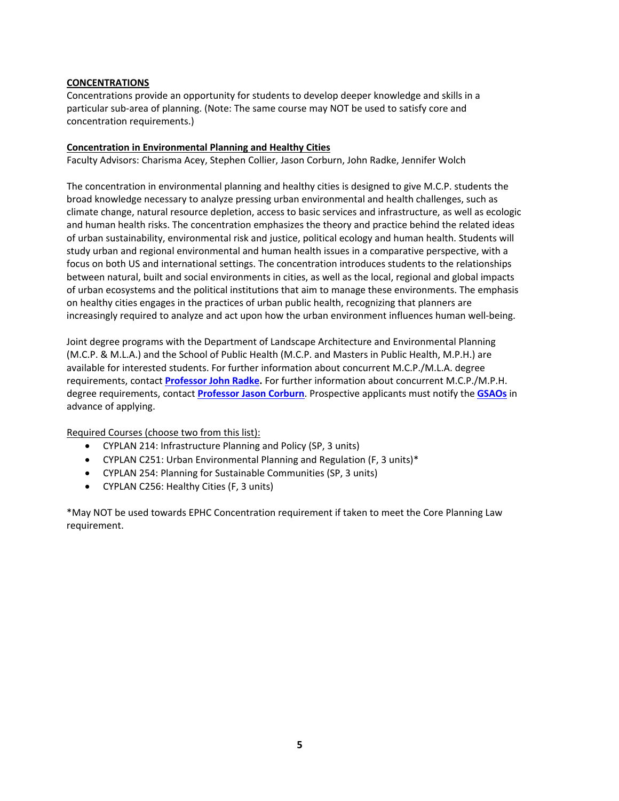### **CONCENTRATIONS**

Concentrations provide an opportunity for students to develop deeper knowledge and skills in a particular sub-area of planning. (Note: The same course may NOT be used to satisfy core and concentration requirements.)

### **Concentration in Environmental Planning and Healthy Cities**

Faculty Advisors: Charisma Acey, [Stephen Collier,](https://ced.berkeley.edu/ced/faculty-staff/stephen-colllier) Jason Corburn, John Radke, Jennifer Wolch

The concentration in environmental planning and healthy cities is designed to give M.C.P. students the broad knowledge necessary to analyze pressing urban environmental and health challenges, such as climate change, natural resource depletion, access to basic services and infrastructure, as well as ecologic and human health risks. The concentration emphasizes the theory and practice behind the related ideas of urban sustainability, environmental risk and justice, political ecology and human health. Students will study urban and regional environmental and human health issues in a comparative perspective, with a focus on both US and international settings. The concentration introduces students to the relationships between natural, built and social environments in cities, as well as the local, regional and global impacts of urban ecosystems and the political institutions that aim to manage these environments. The emphasis on healthy cities engages in the practices of urban public health, recognizing that planners are increasingly required to analyze and act upon how the urban environment influences human well-being.

Joint degree programs with the Department of Landscape Architecture and Environmental Planning (M.C.P. & M.L.A.) and the School of Public Health (M.C.P. and Masters in Public Health, M.P.H.) are available for interested students. For further information about concurrent M.C.P./M.L.A. degree requirements, contact **[Professor John Radke.](https://ced.berkeley.edu/ced/faculty-staff/john-radke)** For further information about concurrent M.C.P./M.P.H. degree requirements, contact **[Professor Jason Corburn](https://ced.berkeley.edu/ced/faculty-staff/jason-corburn)**. Prospective applicants must notify the **[GSAOs](mailto:dcrpgrad@berkeley.edu)** in advance of applying.

Required Courses (choose two from this list):

- CYPLAN 214: Infrastructure Planning and Policy (SP, 3 units)
- CYPLAN C251: Urban Environmental Planning and Regulation (F, 3 units)\*
- CYPLAN 254: Planning for Sustainable Communities (SP, 3 units)
- CYPLAN C256: Healthy Cities (F, 3 units)

\*May NOT be used towards EPHC Concentration requirement if taken to meet the Core Planning Law requirement.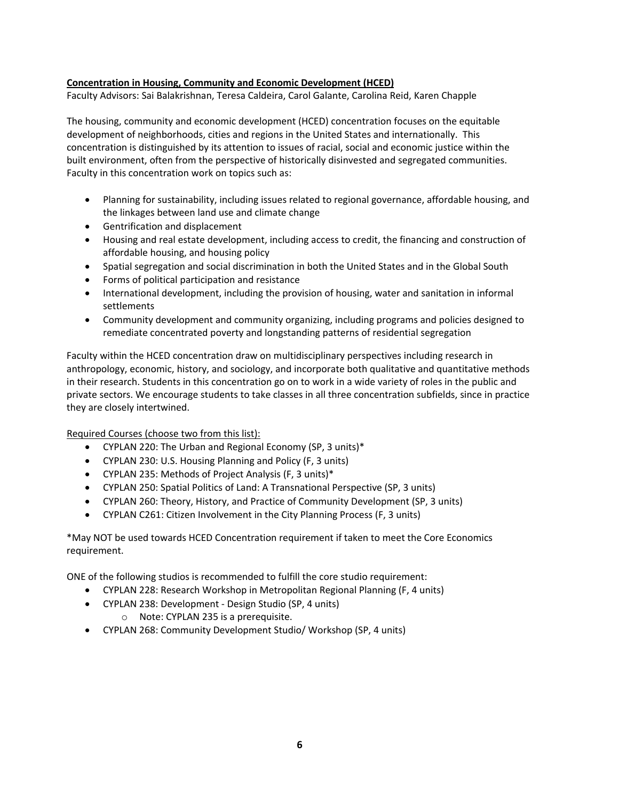### **Concentration in Housing, Community and Economic Development (HCED)**

Faculty Advisors: Sai Balakrishnan, Teresa Caldeira, Carol Galante, Carolina Reid, Karen Chapple

The housing, community and economic development (HCED) concentration focuses on the equitable development of neighborhoods, cities and regions in the United States and internationally. This concentration is distinguished by its attention to issues of racial, social and economic justice within the built environment, often from the perspective of historically disinvested and segregated communities. Faculty in this concentration work on topics such as:

- Planning for sustainability, including issues related to regional governance, affordable housing, and the linkages between land use and climate change
- Gentrification and displacement
- Housing and real estate development, including access to credit, the financing and construction of affordable housing, and housing policy
- Spatial segregation and social discrimination in both the United States and in the Global South
- Forms of political participation and resistance
- International development, including the provision of housing, water and sanitation in informal settlements
- Community development and community organizing, including programs and policies designed to remediate concentrated poverty and longstanding patterns of residential segregation

Faculty within the HCED concentration draw on multidisciplinary perspectives including research in anthropology, economic, history, and sociology, and incorporate both qualitative and quantitative methods in their research. Students in this concentration go on to work in a wide variety of roles in the public and private sectors. We encourage students to take classes in all three concentration subfields, since in practice they are closely intertwined.

Required Courses (choose two from this list):

- CYPLAN 220: The Urban and Regional Economy (SP, 3 units)\*
- CYPLAN 230: U.S. Housing Planning and Policy (F, 3 units)
- CYPLAN 235: Methods of Project Analysis (F, 3 units)\*
- CYPLAN 250: Spatial Politics of Land: A Transnational Perspective (SP, 3 units)
- CYPLAN 260: Theory, History, and Practice of Community Development (SP, 3 units)
- CYPLAN C261: Citizen Involvement in the City Planning Process (F, 3 units)

\*May NOT be used towards HCED Concentration requirement if taken to meet the Core Economics requirement.

ONE of the following studios is recommended to fulfill the core studio requirement:

- CYPLAN 228: Research Workshop in Metropolitan Regional Planning (F, 4 units)
- CYPLAN 238: Development Design Studio (SP, 4 units)
	- o Note: CYPLAN 235 is a prerequisite.
- CYPLAN 268: Community Development Studio/ Workshop (SP, 4 units)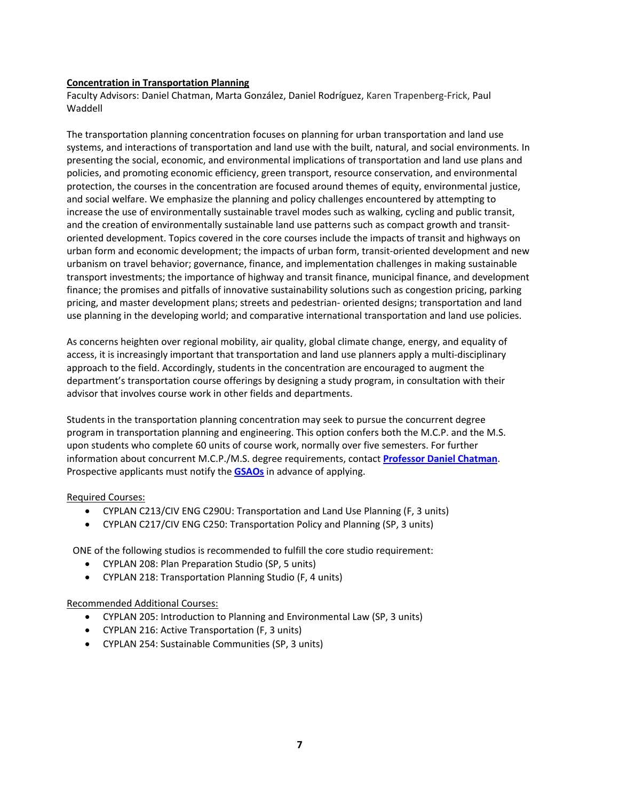### **Concentration in Transportation Planning**

Faculty Advisors: Daniel Chatman, Marta González, Daniel Rodríguez, Karen Trapenberg-Frick, Paul Waddell

The transportation planning concentration focuses on planning for urban transportation and land use systems, and interactions of transportation and land use with the built, natural, and social environments. In presenting the social, economic, and environmental implications of transportation and land use plans and policies, and promoting economic efficiency, green transport, resource conservation, and environmental protection, the courses in the concentration are focused around themes of equity, environmental justice, and social welfare. We emphasize the planning and policy challenges encountered by attempting to increase the use of environmentally sustainable travel modes such as walking, cycling and public transit, and the creation of environmentally sustainable land use patterns such as compact growth and transitoriented development. Topics covered in the core courses include the impacts of transit and highways on urban form and economic development; the impacts of urban form, transit-oriented development and new urbanism on travel behavior; governance, finance, and implementation challenges in making sustainable transport investments; the importance of highway and transit finance, municipal finance, and development finance; the promises and pitfalls of innovative sustainability solutions such as congestion pricing, parking pricing, and master development plans; streets and pedestrian- oriented designs; transportation and land use planning in the developing world; and comparative international transportation and land use policies.

As concerns heighten over regional mobility, air quality, global climate change, energy, and equality of access, it is increasingly important that transportation and land use planners apply a multi-disciplinary approach to the field. Accordingly, students in the concentration are encouraged to augment the department's transportation course offerings by designing a study program, in consultation with their advisor that involves course work in other fields and departments.

Students in the transportation planning concentration may seek to pursue the concurrent degree program in transportation planning and engineering. This option confers both the M.C.P. and the M.S. upon students who complete 60 units of course work, normally over five semesters. For further information about concurrent M.C.P./M.S. degree requirements, contact **[Professor Daniel Chatman](https://ced.berkeley.edu/ced/faculty-staff/daniel-chatman)**. Prospective applicants must notify the **[GSAOs](mailto:dcrpgrad@berkeley.edu)** in advance of applying.

# Required Courses:

- CYPLAN C213/CIV ENG C290U: Transportation and Land Use Planning (F, 3 units)
- CYPLAN C217/CIV ENG C250: Transportation Policy and Planning (SP, 3 units)

ONE of the following studios is recommended to fulfill the core studio requirement:

- CYPLAN 208: Plan Preparation Studio (SP, 5 units)
- CYPLAN 218: Transportation Planning Studio (F, 4 units)

# Recommended Additional Courses:

- CYPLAN 205: Introduction to Planning and Environmental Law (SP, 3 units)
- CYPLAN 216: Active Transportation (F, 3 units)
- CYPLAN 254: Sustainable Communities (SP, 3 units)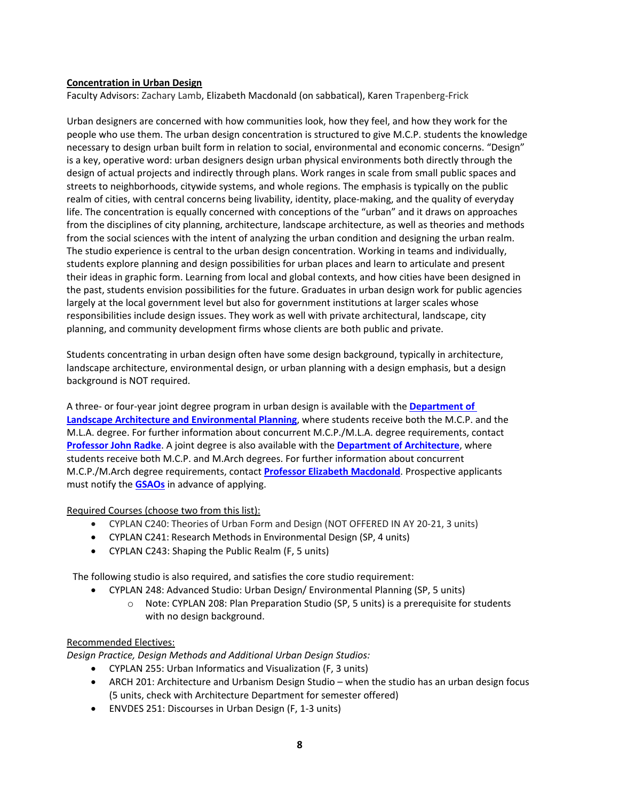### **Concentration in Urban Design**

Faculty Advisors: Zachary Lamb, Elizabeth Macdonald (on sabbatical), Karen Trapenberg-Frick

Urban designers are concerned with how communities look, how they feel, and how they work for the people who use them. The urban design concentration is structured to give M.C.P. students the knowledge necessary to design urban built form in relation to social, environmental and economic concerns. "Design" is a key, operative word: urban designers design urban physical environments both directly through the design of actual projects and indirectly through plans. Work ranges in scale from small public spaces and streets to neighborhoods, citywide systems, and whole regions. The emphasis is typically on the public realm of cities, with central concerns being livability, identity, place-making, and the quality of everyday life. The concentration is equally concerned with conceptions of the "urban" and it draws on approaches from the disciplines of city planning, architecture, landscape architecture, as well as theories and methods from the social sciences with the intent of analyzing the urban condition and designing the urban realm. The studio experience is central to the urban design concentration. Working in teams and individually, students explore planning and design possibilities for urban places and learn to articulate and present their ideas in graphic form. Learning from local and global contexts, and how cities have been designed in the past, students envision possibilities for the future. Graduates in urban design work for public agencies largely at the local government level but also for government institutions at larger scales whose responsibilities include design issues. They work as well with private architectural, landscape, city planning, and community development firms whose clients are both public and private.

Students concentrating in urban design often have some design background, typically in architecture, landscape architecture, environmental design, or urban planning with a design emphasis, but a design background is NOT required.

A three- or four-year joint degree program in urban design is available with the **[Department of](https://ced.berkeley.edu/academics/landscape-architecture-environmental-planning/programs/master-of-landscape-architecture)  [Landscape Architecture and Environmental Planning](https://ced.berkeley.edu/academics/landscape-architecture-environmental-planning/programs/master-of-landscape-architecture)**, where students receive both the M.C.P. and the M.L.A. degree. For further information about concurrent M.C.P./M.L.A. degree requirements, contact **[Professor John Radke](https://ced.berkeley.edu/ced/faculty-staff/john-radke)**. A joint degree is also available with the **[Department of Architecture](https://ced.berkeley.edu/academics/architecture/programs/master-of-architecture/)**, where students receive both M.C.P. and M.Arch degrees. For further information about concurrent M.C.P./M.Arch degree requirements, contact **[Professor Elizabeth Macdonald](https://ced.berkeley.edu/ced/faculty-staff/elizabeth-macdonald)**. Prospective applicants must notify the **[GSAOs](mailto:dcrpgrad@berkeley.edu)** in advance of applying.

Required Courses (choose two from this list):

- CYPLAN C240: Theories of Urban Form and Design (NOT OFFERED IN AY 20-21, 3 units)
- CYPLAN C241: Research Methods in Environmental Design (SP, 4 units)
- CYPLAN C243: Shaping the Public Realm (F, 5 units)

The following studio is also required, and satisfies the core studio requirement:

- CYPLAN 248: Advanced Studio: Urban Design/ Environmental Planning (SP, 5 units)
	- $\circ$  Note: CYPLAN 208: Plan Preparation Studio (SP, 5 units) is a prerequisite for students with no design background.

# Recommended Electives:

*Design Practice, Design Methods and Additional Urban Design Studios:* 

- CYPLAN 255: Urban Informatics and Visualization (F, 3 units)
- ARCH 201: Architecture and Urbanism Design Studio when the studio has an urban design focus (5 units, check with Architecture Department for semester offered)
- ENVDES 251: Discourses in Urban Design (F, 1-3 units)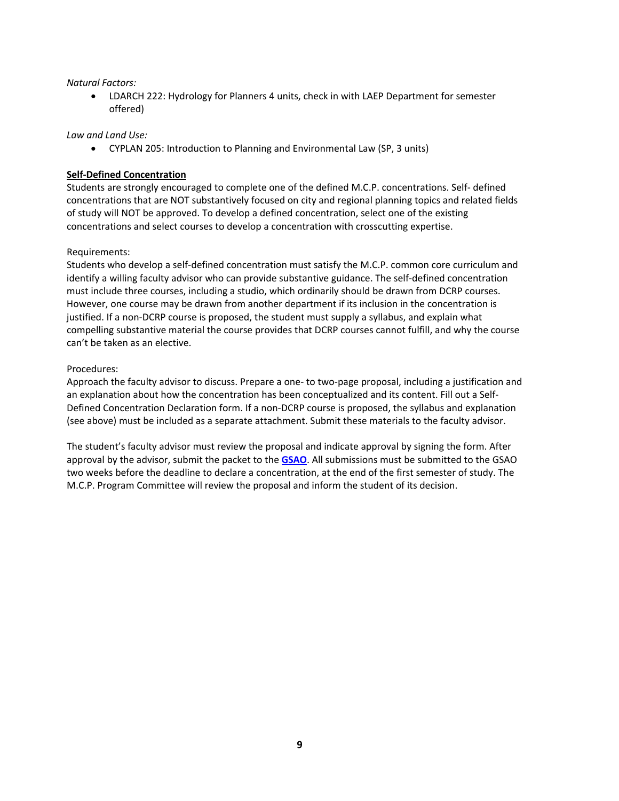### *Natural Factors:*

• LDARCH 222: Hydrology for Planners 4 units, check in with LAEP Department for semester offered)

### *Law and Land Use:*

• CYPLAN 205: Introduction to Planning and Environmental Law (SP, 3 units)

### **Self-Defined Concentration**

Students are strongly encouraged to complete one of the defined M.C.P. concentrations. Self- defined concentrations that are NOT substantively focused on city and regional planning topics and related fields of study will NOT be approved. To develop a defined concentration, select one of the existing concentrations and select courses to develop a concentration with crosscutting expertise.

### Requirements:

Students who develop a self-defined concentration must satisfy the M.C.P. common core curriculum and identify a willing faculty advisor who can provide substantive guidance. The self-defined concentration must include three courses, including a studio, which ordinarily should be drawn from DCRP courses. However, one course may be drawn from another department if its inclusion in the concentration is justified. If a non-DCRP course is proposed, the student must supply a syllabus, and explain what compelling substantive material the course provides that DCRP courses cannot fulfill, and why the course can't be taken as an elective.

### Procedures:

Approach the faculty advisor to discuss. Prepare a one- to two-page proposal, including a justification and an explanation about how the concentration has been conceptualized and its content. Fill out a Self-Defined Concentration Declaration form. If a non-DCRP course is proposed, the syllabus and explanation (see above) must be included as a separate attachment. Submit these materials to the faculty advisor.

The student's faculty advisor must review the proposal and indicate approval by signing the form. After approval by the advisor, submit the packet to the **[GSAO](mailto:dcrpgrad@berkeley.edu)**. All submissions must be submitted to the GSAO two weeks before the deadline to declare a concentration, at the end of the first semester of study. The M.C.P. Program Committee will review the proposal and inform the student of its decision.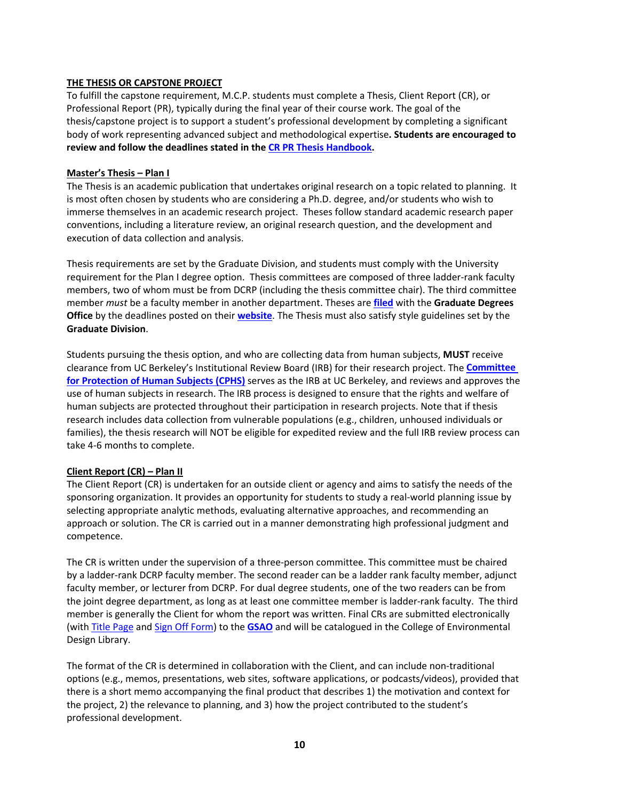### **THE THESIS OR CAPSTONE PROJECT**

To fulfill the capstone requirement, M.C.P. students must complete a Thesis, Client Report (CR), or Professional Report (PR), typically during the final year of their course work. The goal of the thesis/capstone project is to support a student's professional development by completing a significant body of work representing advanced subject and methodological expertise**. Students are encouraged to review and follow the deadlines stated in th[e CR PR Thesis](https://ced.berkeley.edu/images/uploads/content/2020-21_MCP_Capstone_Handbook.pdf) Handbook.**

#### **Master's Thesis – Plan I**

The Thesis is an academic publication that undertakes original research on a topic related to planning. It is most often chosen by students who are considering a Ph.D. degree, and/or students who wish to immerse themselves in an academic research project. Theses follow standard academic research paper conventions, including a literature review, an original research question, and the development and execution of data collection and analysis.

Thesis requirements are set by the Graduate Division, and students must comply with the University requirement for the Plan I degree option. Thesis committees are composed of three ladder-rank faculty members, two of whom must be from DCRP (including the thesis committee chair). The third committee member *must* be a faculty member in another department. Theses are **[filed](https://grad.berkeley.edu/academic-progress/thesis/)** with the **[Graduate Degrees](http://www.grad.berkeley.edu/policies/degree_filing_deadlines.shtml) [Office](http://www.grad.berkeley.edu/policies/degree_filing_deadlines.shtml)** by the deadlines posted on their **[website](https://grad.berkeley.edu/academic-progress/deadlines/)**. The Thesis must also satisfy style guidelines set by the **[Graduate Division](http://www.grad.berkeley.edu/policies/pdf/disguide.pdf)**.

Students pursuing the thesis option, and who are collecting data from human subjects, **MUST** receive clearance from UC Berkeley's Institutional Review Board (IRB) for their research project. The **[Committee](https://cphs.berkeley.edu/)  [for Protection of Human Subjects \(CPHS\)](https://cphs.berkeley.edu/)** serves as the IRB at UC Berkeley, and reviews and approves the use of human subjects in research. The IRB process is designed to ensure that the rights and welfare of human subjects are protected throughout their participation in research projects. Note that if thesis research includes data collection from vulnerable populations (e.g., children, unhoused individuals or families), the thesis research will NOT be eligible for expedited review and the full IRB review process can take 4-6 months to complete.

#### **Client Report (CR) – Plan II**

The Client Report (CR) is undertaken for an outside client or agency and aims to satisfy the needs of the sponsoring organization. It provides an opportunity for students to study a real-world planning issue by selecting appropriate analytic methods, evaluating alternative approaches, and recommending an approach or solution. The CR is carried out in a manner demonstrating high professional judgment and competence.

The CR is written under the supervision of a three-person committee. This committee must be chaired by a ladder-rank DCRP faculty member. The second reader can be a ladder rank faculty member, adjunct faculty member, or lecturer from DCRP. For dual degree students, one of the two readers can be from the joint degree department, as long as at least one committee member is ladder-rank faculty. The third member is generally the Client for whom the report was written. Final CRs are submitted electronically (wit[h Title Page](https://ced.berkeley.edu/images/uploads/content/PR_CR_Title_Page_Template.pdf) and [Sign Off Form\)](https://ced.berkeley.edu/images/uploads/content/MCP_PR_CR_Sign-Off_Form.pdf) to the **[GSAO](mailto:dcrpgrad@berkeley.edu)** and will be catalogued in the College of Environmental Design Library.

The format of the CR is determined in collaboration with the Client, and can include non-traditional options (e.g., memos, presentations, web sites, software applications, or podcasts/videos), provided that there is a short memo accompanying the final product that describes 1) the motivation and context for the project, 2) the relevance to planning, and 3) how the project contributed to the student's professional development.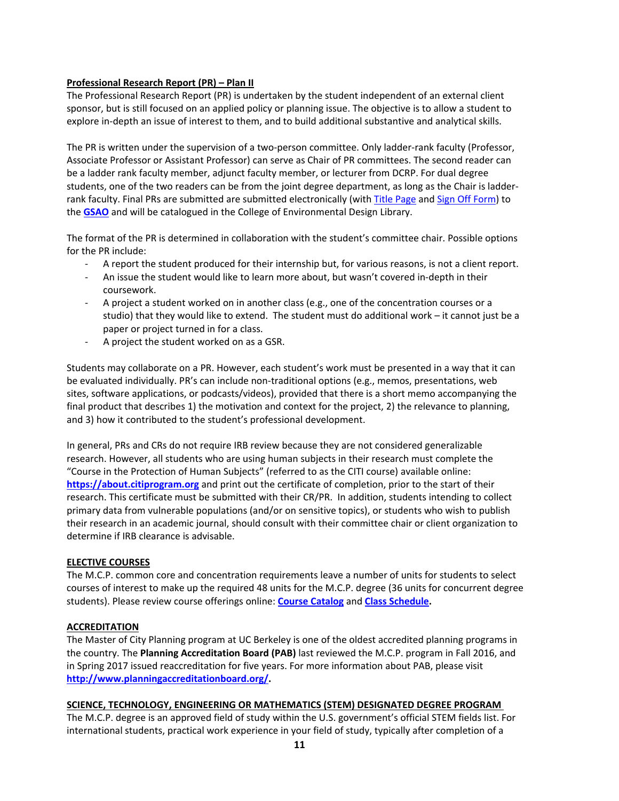### **Professional Research Report (PR) – Plan II**

The Professional Research Report (PR) is undertaken by the student independent of an external client sponsor, but is still focused on an applied policy or planning issue. The objective is to allow a student to explore in-depth an issue of interest to them, and to build additional substantive and analytical skills.

The PR is written under the supervision of a two-person committee. Only ladder-rank faculty (Professor, Associate Professor or Assistant Professor) can serve as Chair of PR committees. The second reader can be a ladder rank faculty member, adjunct faculty member, or lecturer from DCRP. For dual degree students, one of the two readers can be from the joint degree department, as long as the Chair is ladder-rank faculty. Final PRs are submitted are submitted electronically (with [Title Page](https://ced.berkeley.edu/images/uploads/content/PR_CR_Title_Page_Template.pdf) an[d Sign Off Form\)](https://ced.berkeley.edu/images/uploads/content/MCP_PR_CR_Sign-Off_Form.pdf) to the **[GSAO](mailto:dcrpgrad@berkeley.edu)** and will be catalogued in the College of Environmental Design Library.

The format of the PR is determined in collaboration with the student's committee chair. Possible options for the PR include:

- A report the student produced for their internship but, for various reasons, is not a client report.
- An issue the student would like to learn more about, but wasn't covered in-depth in their coursework.
- A project a student worked on in another class (e.g., one of the concentration courses or a studio) that they would like to extend. The student must do additional work – it cannot just be a paper or project turned in for a class.
- A project the student worked on as a GSR.

Students may collaborate on a PR. However, each student's work must be presented in a way that it can be evaluated individually. PR's can include non-traditional options (e.g., memos, presentations, web sites, software applications, or podcasts/videos), provided that there is a short memo accompanying the final product that describes 1) the motivation and context for the project, 2) the relevance to planning, and 3) how it contributed to the student's professional development.

In general, PRs and CRs do not require IRB review because they are not considered generalizable research. However, all students who are using human subjects in their research must complete the "Course in the Protection of Human Subjects" (referred to as the CITI course) available online: **[https://about.citiprogram.org](https://about.citiprogram.org/)** and print out the certificate of completion, prior to the start of their research. This certificate must be submitted with their CR/PR. In addition, students intending to collect primary data from vulnerable populations (and/or on sensitive topics), or students who wish to publish their research in an academic journal, should consult with their committee chair or client organization to determine if IRB clearance is advisable.

#### **ELECTIVE COURSES**

The M.C.P. common core and concentration requirements leave a number of units for students to select courses of interest to make up the required 48 units for the M.C.P. degree (36 units for concurrent degree students). Please review course offerings online: **Course [Catalog](http://guide.berkeley.edu/courses/)** and **[Class Schedule.](https://classes.berkeley.edu/)**

# **ACCREDITATION**

The Master of City Planning program at UC Berkeley is one of the oldest accredited planning programs in the country. The **Planning Accreditation Board (PAB)** last reviewed the M.C.P. program in Fall 2016, and in Spring 2017 issued reaccreditation for five years. For more information about PAB, please visit **[http://www.planningaccreditationboard.org/.](http://www.planningaccreditationboard.org/)**

# **SCIENCE, TECHNOLOGY, ENGINEERING OR MATHEMATICS (STEM) DESIGNATED DEGREE PROGRAM**

The M.C.P. degree is an approved field of study within the U.S. government's official STEM fields list. For international students, practical work experience in your field of study, typically after completion of a